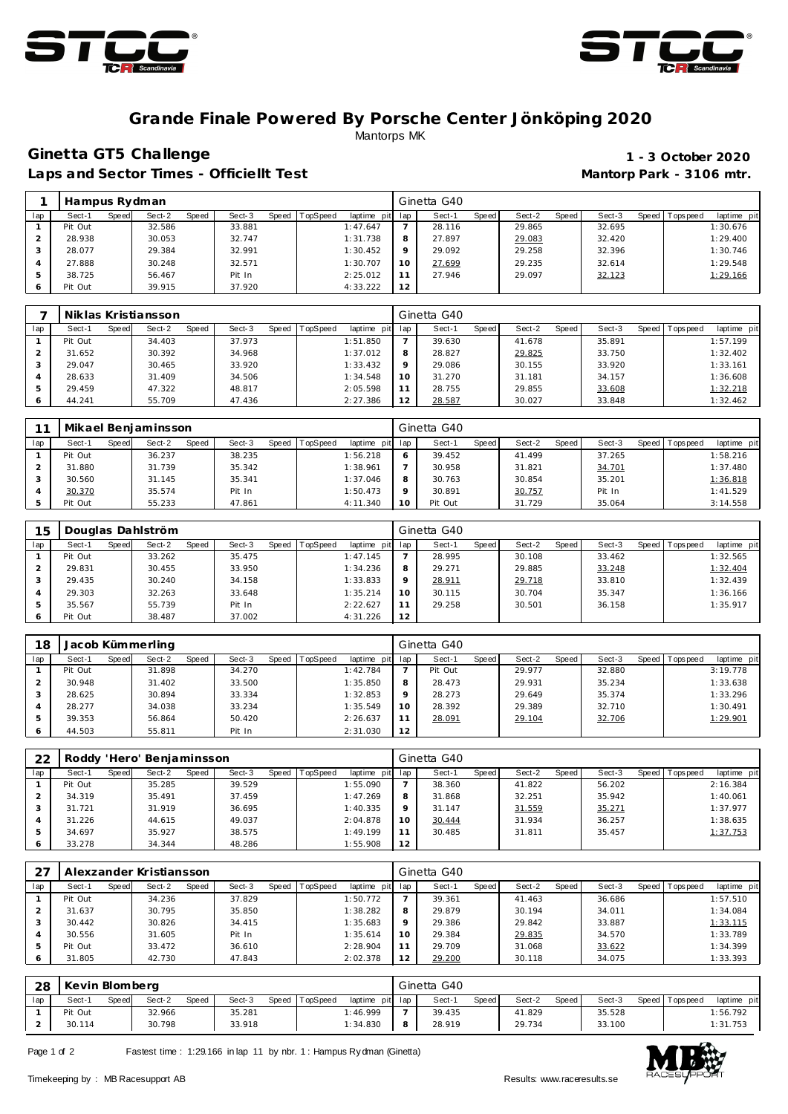



### **Grande Finale Powered By Porsche Center Jönköping 2020** Mantorps MK

# **Ginetta GT5 Challenge 1 - 3 October 2020**

Laps and Sector Times - Officiellt Test **Mantorp Park - 3106 mtr.** 

|     | Hampus Rydman |       |        |       |        |                |             |     | Ginetta G40 |       |        |       |        |         |            |             |
|-----|---------------|-------|--------|-------|--------|----------------|-------------|-----|-------------|-------|--------|-------|--------|---------|------------|-------------|
| lap | Sect-1        | Speed | Sect-2 | Speed | Sect-3 | Speed TopSpeed | laptime pit | lap | Sect-1      | Speed | Sect-2 | Speed | Sect-3 | Speed I | T ops peed | laptime pit |
|     | Pit Out       |       | 32.586 |       | 33.881 |                | 1:47.647    |     | 28.116      |       | 29.865 |       | 32.695 |         |            | 1:30.676    |
|     | 28.938        |       | 30.053 |       | 32.747 |                | 1:31.738    | 8   | 27.897      |       | 29.083 |       | 32.420 |         |            | 1:29.400    |
|     | 28.077        |       | 29.384 |       | 32.991 |                | 1:30.452    | Q   | 29.092      |       | 29.258 |       | 32.396 |         |            | 1:30.746    |
|     | 27.888        |       | 30.248 |       | 32.571 |                | 1:30.707    | 10  | 27.699      |       | 29.235 |       | 32.614 |         |            | 1:29.548    |
|     | 38.725        |       | 56.467 |       | Pit In |                | 2:25.012    | 11  | 27.946      |       | 29.097 |       | 32.123 |         |            | 1:29.166    |
|     | Pit Out       |       | 39.915 |       | 37.920 |                | 4:33.222    | 12  |             |       |        |       |        |         |            |             |

|     | Niklas Kristiansson |                 |        |                               |         | Ginetta G40            |                 |        |                               |
|-----|---------------------|-----------------|--------|-------------------------------|---------|------------------------|-----------------|--------|-------------------------------|
| lap | Sect-1<br>Speed     | Sect-2<br>Speed | Sect-3 | Speed TopSpeed<br>laptime pit | lap     | Sect-1<br><b>Speed</b> | Speed<br>Sect-2 | Sect-3 | Speed Topspeed<br>laptime pit |
|     | Pit Out             | 34.403          | 37.973 | 1:51.850                      |         | 39.630                 | 41.678          | 35.891 | 1:57.199                      |
|     | 31.652              | 30.392          | 34.968 | 1:37.012                      | 8       | 28.827                 | 29.825          | 33.750 | 1:32.402                      |
|     | 29.047              | 30.465          | 33.920 | 1:33.432                      | $\circ$ | 29.086                 | 30.155          | 33.920 | 1:33.161                      |
|     | 28.633              | 31.409          | 34.506 | 1:34.548                      | 10      | 31.270                 | 31.181          | 34.157 | 1:36.608                      |
|     | 29.459              | 47.322          | 48.817 | 2:05.598                      | 11      | 28.755                 | 29.855          | 33.608 | 1:32.218                      |
| 6   | 44.241              | 55.709          | 47.436 | 2:27.386                      | 12      | 28.587                 | 30.027          | 33.848 | 1:32.462                      |

|     |         |       | Mikael Benjaminsson |       |        |       |                 |                 | Ginetta G40 |       |        |       |        |         |            |             |
|-----|---------|-------|---------------------|-------|--------|-------|-----------------|-----------------|-------------|-------|--------|-------|--------|---------|------------|-------------|
| lap | Sect-1  | Speed | Sect-2              | Speed | Sect-3 | Speed | <b>TopSpeed</b> | laptime pit lap | Sect-1      | Speed | Sect-2 | Speed | Sect-3 | Speed I | T ops peed | laptime pit |
|     | Pit Out |       | 36.237              |       | 38.235 |       |                 | 1:56.218        | 39.452      |       | 41.499 |       | 37.265 |         |            | 1:58.216    |
|     | 31.880  |       | 31.739              |       | 35.342 |       |                 | 1:38.961        | 30.958      |       | 31.821 |       | 34.701 |         |            | 1:37.480    |
|     | 30.560  |       | 31.145              |       | 35.341 |       |                 | 1:37.046        | 30.763      |       | 30.854 |       | 35.201 |         |            | 1:36.818    |
|     | 30.370  |       | 35.574              |       | Pit In |       |                 | 1:50.473        | 30.891      |       | 30.757 |       | Pit In |         |            | 1:41.529    |
|     | Pit Out |       | 55.233              |       | 47.861 |       |                 | 4:11.340        | Pit Out     |       | 31.729 |       | 35.064 |         |            | 3:14.558    |

| 15  |         |       | Douglas Dahlström |       |        |       |                 |             |         | Ginetta G40 |       |        |         |        |                |             |
|-----|---------|-------|-------------------|-------|--------|-------|-----------------|-------------|---------|-------------|-------|--------|---------|--------|----------------|-------------|
| lap | Sect-1  | Speed | Sect-2            | Speed | Sect-3 | Speed | <b>TopSpeed</b> | laptime pit | lap     | Sect-1      | Speed | Sect-2 | Speed I | Sect-3 | Speed Topspeed | laptime pit |
|     | Pit Out |       | 33.262            |       | 35.475 |       |                 | 1:47.145    |         | 28.995      |       | 30.108 |         | 33.462 |                | 1:32.565    |
|     | 29.831  |       | 30.455            |       | 33.950 |       |                 | 1:34.236    | 8       | 29.271      |       | 29.885 |         | 33.248 |                | 1:32.404    |
| З   | 29.435  |       | 30.240            |       | 34.158 |       |                 | 1:33.833    | $\circ$ | 28.911      |       | 29.718 |         | 33.810 |                | 1:32.439    |
|     | 29.303  |       | 32.263            |       | 33.648 |       |                 | 1:35.214    | 10      | 30.115      |       | 30.704 |         | 35.347 |                | 1:36.166    |
|     | 35.567  |       | 55.739            |       | Pit In |       |                 | 2:22.627    | 11      | 29.258      |       | 30.501 |         | 36.158 |                | 1:35.917    |
|     | Pit Out |       | 38.487            |       | 37.002 |       |                 | 4:31.226    | 12      |             |       |        |         |        |                |             |

| 18  |         |       | Jacob Kümmerling |       |        |       |                 |             |         | Ginetta G40 |              |        |       |        |                |             |
|-----|---------|-------|------------------|-------|--------|-------|-----------------|-------------|---------|-------------|--------------|--------|-------|--------|----------------|-------------|
| lap | Sect-1  | Speed | Sect-2           | Speed | Sect-3 | Speed | <b>TopSpeed</b> | laptime pit | lap     | Sect-1      | <b>Speed</b> | Sect-2 | Speed | Sect-3 | Speed Topspeed | laptime pit |
|     | Pit Out |       | 31.898           |       | 34.270 |       |                 | 1:42.784    |         | Pit Out     |              | 29.977 |       | 32.880 |                | 3:19.778    |
|     | 30.948  |       | 31.402           |       | 33.500 |       |                 | 1:35.850    | 8       | 28.473      |              | 29.931 |       | 35.234 |                | 1:33.638    |
|     | 28.625  |       | 30.894           |       | 33.334 |       |                 | 1:32.853    | $\circ$ | 28.273      |              | 29.649 |       | 35.374 |                | 1:33.296    |
|     | 28.277  |       | 34.038           |       | 33.234 |       |                 | 1:35.549    | 10      | 28.392      |              | 29.389 |       | 32.710 |                | 1:30.491    |
|     | 39.353  |       | 56.864           |       | 50.420 |       |                 | 2:26.637    |         | 28.091      |              | 29.104 |       | 32.706 |                | 1:29.901    |
| 6   | 44.503  |       | 55.811           |       | Pit In |       |                 | 2:31.030    | 12      |             |              |        |       |        |                |             |

| 22  |         |       | Roddy 'Hero' Benjaminsson |       |        |       |          |                 |    | Ginetta G40 |       |        |       |        |                 |             |
|-----|---------|-------|---------------------------|-------|--------|-------|----------|-----------------|----|-------------|-------|--------|-------|--------|-----------------|-------------|
| lap | Sect-1  | Speed | Sect-2                    | Speed | Sect-3 | Speed | TopSpeed | laptime pit lap |    | Sect-1      | Speed | Sect-2 | Speed | Sect-3 | Speed Tops peed | laptime pit |
|     | Pit Out |       | 35.285                    |       | 39.529 |       |          | 1:55.090        |    | 38.360      |       | 41.822 |       | 56.202 |                 | 2:16.384    |
|     | 34.319  |       | 35.491                    |       | 37.459 |       |          | 1:47.269        | 8  | 31.868      |       | 32.251 |       | 35.942 |                 | 1:40.061    |
|     | 31.721  |       | 31.919                    |       | 36.695 |       |          | 1:40.335        |    | 31.147      |       | 31.559 |       | 35.271 |                 | 1:37.977    |
|     | 31.226  |       | 44.615                    |       | 49.037 |       |          | 2:04.878        | 10 | 30.444      |       | 31.934 |       | 36.257 |                 | 1:38.635    |
|     | 34.697  |       | 35.927                    |       | 38.575 |       |          | 1:49.199        |    | 30.485      |       | 31.811 |       | 35.457 |                 | 1:37.753    |
|     | 33.278  |       | 34.344                    |       | 48.286 |       |          | 1:55.908        | 12 |             |       |        |       |        |                 |             |

| 27            |         |       | Alexzander Kristiansson |       |        |       |          |             |         | Ginetta G40 |              |        |       |        |       |            |             |
|---------------|---------|-------|-------------------------|-------|--------|-------|----------|-------------|---------|-------------|--------------|--------|-------|--------|-------|------------|-------------|
| lap           | Sect-1  | Speed | Sect-2                  | Speed | Sect-3 | Speed | TopSpeed | laptime pit | lap     | Sect-1      | <b>Speed</b> | Sect-2 | Speed | Sect-3 | Speed | Tops pee d | laptime pit |
|               | Pit Out |       | 34.236                  |       | 37.829 |       |          | 1:50.772    |         | 39.361      |              | 41.463 |       | 36.686 |       |            | 1:57.510    |
|               | 31.637  |       | 30.795                  |       | 35.850 |       |          | 1:38.282    | 8       | 29.879      |              | 30.194 |       | 34.011 |       |            | 1:34.084    |
| 3             | 30.442  |       | 30.826                  |       | 34.415 |       |          | 1:35.683    | $\circ$ | 29.386      |              | 29.842 |       | 33.887 |       |            | 1:33.115    |
| 4             | 30.556  |       | 31.605                  |       | Pit In |       |          | 1:35.614    | 10      | 29.384      |              | 29.835 |       | 34.570 |       |            | 1:33.789    |
| $\mathcal{P}$ | Pit Out |       | 33.472                  |       | 36.610 |       |          | 2:28.904    | 11      | 29.709      |              | 31.068 |       | 33.622 |       |            | 1:34.399    |
|               | 31.805  |       | 42.730                  |       | 47.843 |       |          | 2:02.378    | 12      | 29.200      |              | 30.118 |       | 34.075 |       |            | 1:33.393    |

| 28  | Kevin Blomberg |       |        |       |        |       |          |                 | Ginetta G40 |       |        |       |        |                 |             |
|-----|----------------|-------|--------|-------|--------|-------|----------|-----------------|-------------|-------|--------|-------|--------|-----------------|-------------|
| lap | Sect-1         | Speed | Sect-2 | Speed | Sect-3 | Speed | TopSpeed | laptime pit lap | Sect-1      | Speed | Sect-2 | Speed | Sect-3 | Speed Tops peed | laptime pit |
|     | Pit Out        |       | 32.966 |       | 35.281 |       |          | I: 46.999       | 39.435      |       | 41.829 |       | 35.528 |                 | 1:56.792    |
|     | 30.114         |       | 30.798 |       | 33.918 |       |          | 1:34.830        | 28.919      |       | 29.734 |       | 33.100 |                 | 1:31.753    |

Page 1 of 2 Fastest time : 1:29.166 in lap 11 by nbr. 1 : Hampus Ry dman (Ginetta)